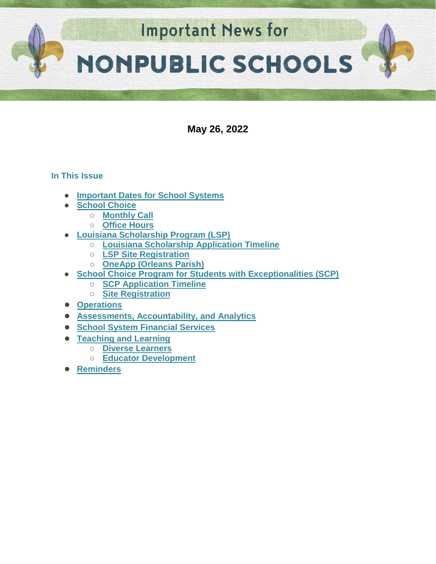

**May 26, 2022**

# **In This Issue**

- **[Important Dates for School Systems](https://docs.google.com/document/d/1RRJlxGzT5cWPaTQ8Ih-m_QxjoDqELI5s0IDYn3gFrCo/edit#heading=h.yep5lu290da2)**
- **School Choice** 
	- **[Monthly Call](#page-2-0)**
	- **[Office Hours](#page-2-1)**
- **Louisiana Scholarship Program (LSP)**
	- **[Louisiana Scholarship Application Timeline](#page-2-2)**
	- **[LSP Site Registration](#page-3-0)**
	- **[OneApp \(Orleans Parish\)](#page-3-1)**
- **School Choice Program for Students with Exceptionalities (SCP)** 
	- **[SCP Application Timeline](#page-4-0)**
	- **[Site Registration](#page-4-1)**
- **[Operations](#page-5-0)**
- **[Assessments, Accountability, and Analytics](#page-6-0)**
- **[School System Financial Services](#page-7-0)**
- **[Teaching and Learning](#page-8-0)**
	- **[Diverse Learners](#page-8-1)**
		- **[Educator Development](#page-8-2)**
- **[Reminders](#page-10-0)**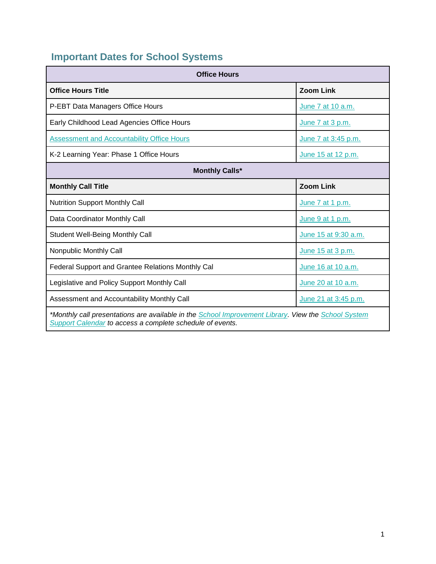# **Important Dates for School Systems**

| <b>Office Hours</b>                                                                                                                                              |                      |  |
|------------------------------------------------------------------------------------------------------------------------------------------------------------------|----------------------|--|
| <b>Office Hours Title</b>                                                                                                                                        | <b>Zoom Link</b>     |  |
| P-EBT Data Managers Office Hours                                                                                                                                 | June 7 at 10 a.m.    |  |
| Early Childhood Lead Agencies Office Hours                                                                                                                       | June 7 at 3 p.m.     |  |
| <b>Assessment and Accountability Office Hours</b>                                                                                                                | June 7 at 3:45 p.m.  |  |
| K-2 Learning Year: Phase 1 Office Hours                                                                                                                          | June 15 at 12 p.m.   |  |
| <b>Monthly Calls*</b>                                                                                                                                            |                      |  |
| <b>Monthly Call Title</b>                                                                                                                                        | <b>Zoom Link</b>     |  |
| <b>Nutrition Support Monthly Call</b>                                                                                                                            | June 7 at 1 p.m.     |  |
| Data Coordinator Monthly Call                                                                                                                                    | June 9 at 1 p.m.     |  |
| <b>Student Well-Being Monthly Call</b>                                                                                                                           | June 15 at 9:30 a.m. |  |
| Nonpublic Monthly Call                                                                                                                                           | June 15 at 3 p.m.    |  |
| Federal Support and Grantee Relations Monthly Cal                                                                                                                | June 16 at 10 a.m.   |  |
| Legislative and Policy Support Monthly Call                                                                                                                      | June 20 at 10 a.m.   |  |
| Assessment and Accountability Monthly Call                                                                                                                       | June 21 at 3:45 p.m. |  |
| *Monthly call presentations are available in the School Improvement Library. View the School System<br>Support Calendar to access a complete schedule of events. |                      |  |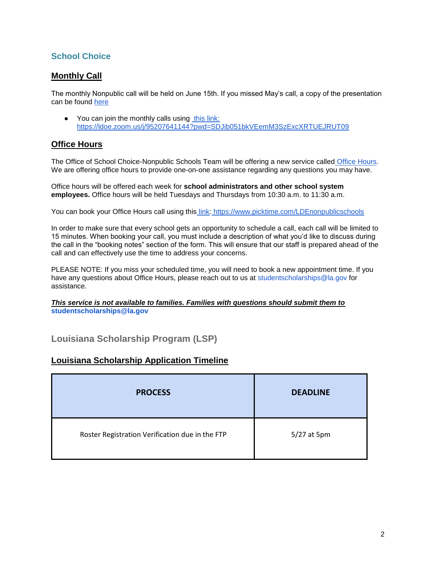# **School Choice**

### <span id="page-2-0"></span>**Monthly Call**

The monthly Nonpublic call will be held on June 15th. If you missed May's call, a copy of the presentation can be found [here](https://louisianabelieves.com/docs/default-source/district-support/nonpublic-monthly-call-may-2022.pdf)

● You can join the monthly calls using [this link:](https://ldoe.zoom.us/j/95207641144?pwd=SDJib051bkVEemM3SzExcXRTUEJRUT09) <https://ldoe.zoom.us/j/95207641144?pwd=SDJib051bkVEemM3SzExcXRTUEJRUT09>

### <span id="page-2-1"></span>**Office Hours**

The Office of School Choice-Nonpublic Schools Team will be offering a new service called [Office Hours.](https://www.picktime.com/LDEnonpublicschools) We are offering office hours to provide one-on-one assistance regarding any questions you may have.

Office hours will be offered each week for **school administrators and other school system employees.** Office hours will be held Tuesdays and Thursdays from 10:30 a.m. to 11:30 a.m.

You can book your Office Hours call using this [link:](https://www.picktime.com/LDEnonpublicschools) <https://www.picktime.com/LDEnonpublicschools>

In order to make sure that every school gets an opportunity to schedule a call, each call will be limited to 15 minutes. When booking your call, you must include a description of what you'd like to discuss during the call in the "booking notes" section of the form. This will ensure that our staff is prepared ahead of the call and can effectively use the time to address your concerns.

PLEASE NOTE: If you miss your scheduled time, you will need to book a new appointment time. If you have any questions about Office Hours, please reach out to us at studentscholarships@la.gov for assistance.

*This service is not available to families. Families with questions should submit them to*  **studentscholarships@la.gov**

**Louisiana Scholarship Program (LSP)**

### <span id="page-2-2"></span>**Louisiana Scholarship Application Timeline**

| <b>PROCESS</b>                                  | <b>DEADLINE</b> |
|-------------------------------------------------|-----------------|
| Roster Registration Verification due in the FTP | 5/27 at 5pm     |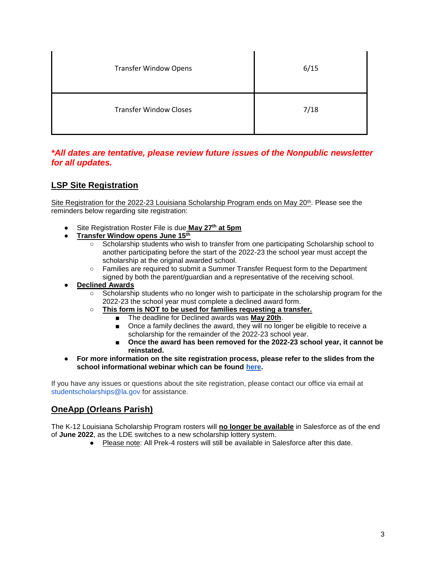| <b>Transfer Window Opens</b>  | 6/15 |
|-------------------------------|------|
| <b>Transfer Window Closes</b> | 7/18 |

### *\*All dates are tentative, please review future issues of the Nonpublic newsletter for all updates.*

## <span id="page-3-0"></span>**LSP Site Registration**

Site Registration for the 2022-23 Louisiana Scholarship Program ends on May  $20<sup>th</sup>$ . Please see the reminders below regarding site registration:

- Site Registration Roster File is due **May 27th at 5pm**
- **Transfer Window opens June 15th**
	- Scholarship students who wish to transfer from one participating Scholarship school to another participating before the start of the 2022-23 the school year must accept the scholarship at the original awarded school.
	- Families are required to submit a Summer Transfer Request form to the Department signed by both the parent/guardian and a representative of the receiving school.
- **Declined Awards** 
	- Scholarship students who no longer wish to participate in the scholarship program for the 2022-23 the school year must complete a declined award form.
	- **This form is NOT to be used for families requesting a transfer.**
		- The deadline for Declined awards was **May 20th**.
		- Once a family declines the award, they will no longer be eligible to receive a scholarship for the remainder of the 2022-23 school year.
		- Once the award has been removed for the 2022-23 school year, it cannot be **reinstated.**
- **For more information on the site registration process, please refer to the slides from the school informational webinar which can be found [here.](https://www.louisianabelieves.com/docs/default-source/district-support/school-information-webinar---lsp-registration-process-4-11-22.pdf)**

If you have any issues or questions about the site registration, please contact our office via email at studentscholarships@la.gov for assistance.

### <span id="page-3-1"></span>**OneApp (Orleans Parish)**

The K-12 Louisiana Scholarship Program rosters will **no longer be available** in Salesforce as of the end of **June 2022**, as the LDE switches to a new scholarship lottery system.

● Please note: All Prek-4 rosters will still be available in Salesforce after this date.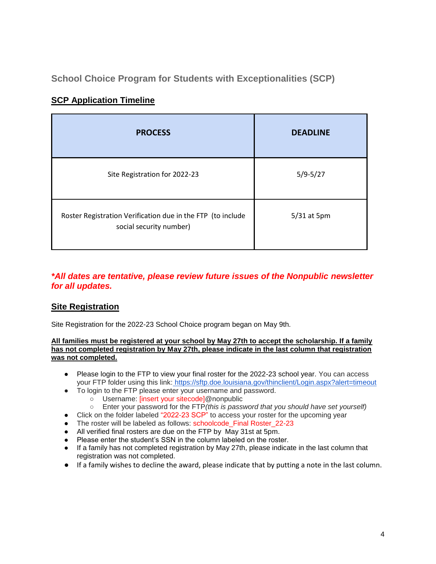**School Choice Program for Students with Exceptionalities (SCP)**

| <b>PROCESS</b>                                                                         | <b>DEADLINE</b> |
|----------------------------------------------------------------------------------------|-----------------|
| Site Registration for 2022-23                                                          | $5/9 - 5/27$    |
| Roster Registration Verification due in the FTP (to include<br>social security number) | 5/31 at 5pm     |

# <span id="page-4-0"></span>**SCP Application Timeline**

### *\*All dates are tentative, please review future issues of the Nonpublic newsletter for all updates.*

## <span id="page-4-1"></span>**Site Registration**

Site Registration for the 2022-23 School Choice program began on May 9th.

#### **All families must be registered at your school by May 27th to accept the scholarship. If a family has not completed registration by May 27th, please indicate in the last column that registration was not completed.**

- Please login to the FTP to view your final roster for the 2022-23 school year. You can access your FTP folder using this link: <https://sftp.doe.louisiana.gov/thinclient/Login.aspx?alert=timeout>
- To login to the FTP please enter your username and password.
	- Username: [insert your sitecode]@nonpublic
	- Enter your password for the FTP*(this is password that you should have set yourself)*
- Click on the folder labeled "2022-23 SCP" to access your roster for the upcoming year
- The roster will be labeled as follows: schoolcode Final Roster 22-23
- All verified final rosters are due on the FTP by May 31st at 5pm.
- Please enter the student's SSN in the column labeled on the roster.
- If a family has not completed registration by May 27th, please indicate in the last column that registration was not completed.
- If a family wishes to decline the award, please indicate that by putting a note in the last column.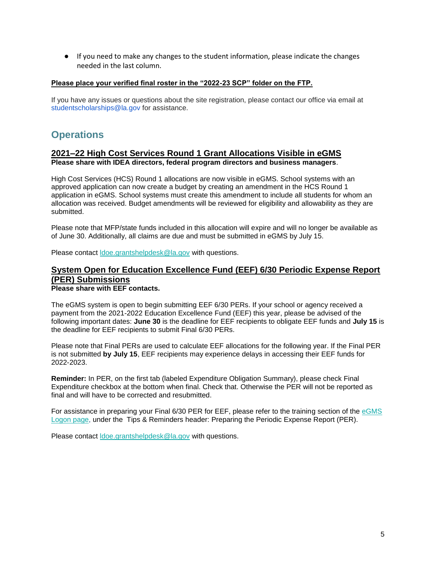● If you need to make any changes to the student information, please indicate the changes needed in the last column.

#### **Please place your verified final roster in the "2022-23 SCP" folder on the FTP.**

If you have any issues or questions about the site registration, please contact our office via email at studentscholarships@la.gov for assistance.

# <span id="page-5-0"></span>**Operations**

#### **2021–22 High Cost Services Round 1 Grant Allocations Visible in eGMS Please share with IDEA directors, federal program directors and business managers**.

High Cost Services (HCS) Round 1 allocations are now visible in eGMS. School systems with an approved application can now create a budget by creating an amendment in the HCS Round 1 application in eGMS. School systems must create this amendment to include all students for whom an allocation was received. Budget amendments will be reviewed for eligibility and allowability as they are submitted.

Please note that MFP/state funds included in this allocation will expire and will no longer be available as of June 30. Additionally, all claims are due and must be submitted in eGMS by July 15.

Please contact [ldoe.grantshelpdesk@la.gov](mailto:ldoe.grantshelpdesk@la.gov) with questions.

# **System Open for Education Excellence Fund (EEF) 6/30 Periodic Expense Report (PER) Submissions**

**Please share with EEF contacts.**

The eGMS system is open to begin submitting EEF 6/30 PERs. If your school or agency received a payment from the 2021-2022 Education Excellence Fund (EEF) this year, please be advised of the following important dates: **June 30** is the deadline for EEF recipients to obligate EEF funds and **July 15** is the deadline for EEF recipients to submit Final 6/30 PERs.

Please note that Final PERs are used to calculate EEF allocations for the following year. If the Final PER is not submitted **by July 15**, EEF recipients may experience delays in accessing their EEF funds for 2022-2023.

**Reminder:** In PER, on the first tab (labeled Expenditure Obligation Summary), please check Final Expenditure checkbox at the bottom when final. Check that. Otherwise the PER will not be reported as final and will have to be corrected and resubmitted.

For assistance in preparing your Final 6/30 PER for EEF, please refer to the training section of the [eGMS](https://egmsp.doe.louisiana.gov/LDEGMSWeb/Logon.aspx)  [Logon page,](https://egmsp.doe.louisiana.gov/LDEGMSWeb/Logon.aspx) under the Tips & Reminders header: Preparing the Periodic Expense Report (PER).

Please contact [ldoe.grantshelpdesk@la.gov](mailto:ldoe.grantshelpdesk@la.gov) with questions.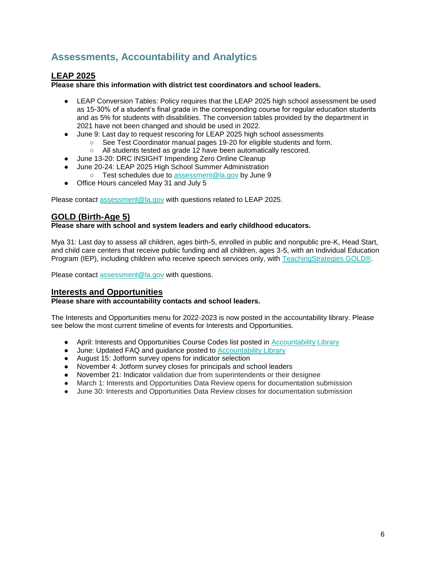# <span id="page-6-0"></span>**Assessments, Accountability and Analytics**

### **LEAP 2025**

**Please share this information with district test coordinators and school leaders.**

- LEAP Conversion Tables: Policy requires that the LEAP 2025 high school assessment be used as 15-30% of a student's final grade in the corresponding course for regular education students and as 5% for students with disabilities. The conversion tables provided by the department in 2021 have not been changed and should be used in 2022.
- June 9: Last day to request rescoring for LEAP 2025 high school assessments
	- See Test Coordinator manual pages 19-20 for eligible students and form.
	- All students tested as grade 12 have been automatically rescored.
- June 13-20: DRC INSIGHT Impending Zero Online Cleanup
- June 20-24: LEAP 2025 High School Summer Administration
	- Test schedules due to [assessment@la.gov](mailto:assessment@la.gov) by June 9
- Office Hours canceled May 31 and July 5

Please contact [assessment@la.gov](mailto:assessment@la.gov) with questions related to LEAP 2025.

### **GOLD (Birth-Age 5)**

**Please share with school and system leaders and early childhood educators.**

Mya 31: Last day to assess all children, ages birth-5, enrolled in public and nonpublic pre-K, Head Start, and child care centers that receive public funding and all children, ages 3-5, with an Individual Education Program (IEP), including children who receive speech services only, with [TeachingStrategies GOLD®.](https://www.louisianabelieves.com/docs/default-source/early-childhood/ts-gold-guidance.pdf?sfvrsn=58b6981f_22)

Please contact [assessment@la.gov](mailto:assessment@la.gov) with questions.

#### **Interests and Opportunities**

#### **Please share with accountability contacts and school leaders.**

The Interests and Opportunities menu for 2022-2023 is now posted in the accountability library. Please see below the most current timeline of events for Interests and Opportunities.

- April: Interests and Opportunities Course Codes list posted in [Accountability Library](https://www.louisianabelieves.com/resources/library/accountability)
- June: Updated FAQ and guidance posted to [Accountability Library](https://www.louisianabelieves.com/resources/library/accountability)
- August 15: Jotform survey opens for indicator selection
- November 4: Jotform survey closes for principals and school leaders
- November 21: Indicator validation due from superintendents or their designee
- March 1: Interests and Opportunities Data Review opens for documentation submission
- June 30: Interests and Opportunities Data Review closes for documentation submission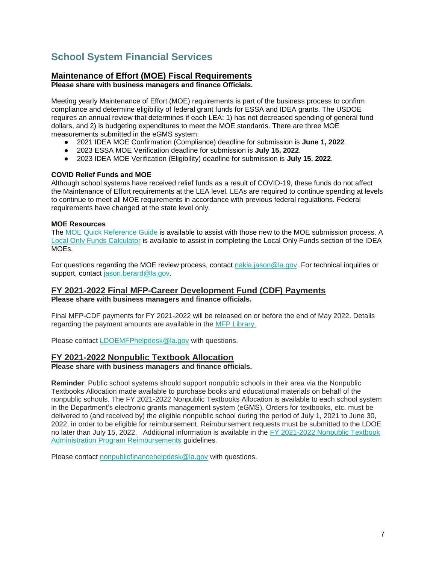# <span id="page-7-0"></span>**School System Financial Services**

### **Maintenance of Effort (MOE) Fiscal Requirements**

**Please share with business managers and finance Officials.**

Meeting yearly Maintenance of Effort (MOE) requirements is part of the business process to confirm compliance and determine eligibility of federal grant funds for ESSA and IDEA grants. The USDOE requires an annual review that determines if each LEA: 1) has not decreased spending of general fund dollars, and 2) is budgeting expenditures to meet the MOE standards. There are three MOE measurements submitted in the eGMS system:

- 2021 IDEA MOE Confirmation (Compliance) deadline for submission is **June 1, 2022**.
- 2023 ESSA MOE Verification deadline for submission is **July 15, 2022**.
- 2023 IDEA MOE Verification (Eligibility) deadline for submission is **July 15, 2022**.

#### **COVID Relief Funds and MOE**

Although school systems have received relief funds as a result of COVID-19, these funds do not affect the Maintenance of Effort requirements at the LEA level. LEAs are required to continue spending at levels to continue to meet all MOE requirements in accordance with previous federal regulations. Federal requirements have changed at the state level only.

#### **MOE Resources**

The [MOE Quick Reference Guide](https://www.louisianabelieves.com/docs/default-source/links-for-newsletters/maintenance-of-effort-quick-guide-for-egms-users-in-2022.pdf?sfvrsn=bb2e6518_2) is available to assist with those new to the MOE submission process. A [Local Only Funds Calculator](https://www.louisianabelieves.com/docs/default-source/links-for-newsletters/local-only-funds-calculatorc9b5035c8c9b66d6b292ff0000215f92.xlsx?sfvrsn=ba2e6518_2) is available to assist in completing the Local Only Funds section of the IDEA MOEs.

For questions regarding the MOE review process, contact [nakia.jason@la.gov.](mailto:nakia.jason@la.gov) For technical inquiries or support, contact [jason.berard@la.gov.](mailto:jason.berard@la.gov)

### **FY 2021-2022 Final MFP-Career Development Fund (CDF) Payments**

**Please share with business managers and finance officials.**

Final MFP-CDF payments for FY 2021-2022 will be released on or before the end of May 2022. Details regarding the payment amounts are available in the [MFP Library.](https://www.louisianabelieves.com/resources/library/minimum-foundation-program) 

Please contact [LDOEMFPhelpdesk@la.gov](mailto:LDOEMFPhelpdesk@la.gov) with questions.

#### **FY 2021-2022 Nonpublic Textbook Allocation**

**Please share with business managers and finance officials.**

**Reminder**: Public school systems should support nonpublic schools in their area via the Nonpublic Textbooks Allocation made available to purchase books and educational materials on behalf of the nonpublic schools. The FY 2021-2022 Nonpublic Textbooks Allocation is available to each school system in the Department's electronic grants management system (eGMS). Orders for textbooks, etc. must be delivered to (and received by) the eligible nonpublic school during the period of July 1, 2021 to June 30, 2022, in order to be eligible for reimbursement. Reimbursement requests must be submitted to the LDOE no later than July 15, 2022. Additional information is available in the FY 2021-2022 Nonpublic Textbook [Administration Program Reimbursements](https://www.louisianabelieves.com/docs/default-source/links-for-newsletters/fy2021-22-nonpublic-textbook-allocation-guidelines-for-leas.pdf) guidelines.

Please contact [nonpublicfinancehelpdesk@la.gov](mailto:nonpublicfinancehelpdesk@la.gov) with questions.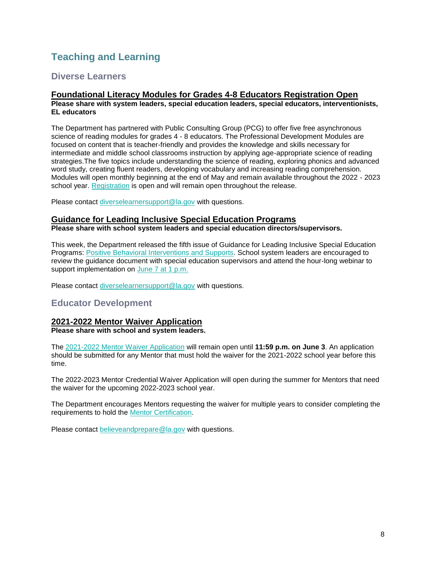# <span id="page-8-0"></span>**Teaching and Learning**

### <span id="page-8-1"></span>**Diverse Learners**

#### **Foundational Literacy Modules for Grades 4-8 Educators Registration Open Please share with system leaders, special education leaders, special educators, interventionists, EL educators**

The Department has partnered with Public Consulting Group (PCG) to offer five free asynchronous science of reading modules for grades 4 - 8 educators. The Professional Development Modules are focused on content that is teacher-friendly and provides the knowledge and skills necessary for intermediate and middle school classrooms instruction by applying age-appropriate science of reading strategies.The five topics include understanding the science of reading, exploring phonics and advanced word study, creating fluent readers, developing vocabulary and increasing reading comprehension. Modules will open monthly beginning at the end of May and remain available throughout the 2022 - 2023 school year. [Registration](https://forms.office.com/pages/responsepage.aspx?id=wxCx2SVMeUO5euJIk4zBe480GuvBKj1CvXxROcKQzeNUMlI4S0tDVFhPSkVXNU5DNkJDSlhXNkFHMy4u) is open and will remain open throughout the release.

Please contact [diverselearnersupport@la.gov](mailto:diverselearnersupport@la.gov) with questions.

#### **Guidance for Leading Inclusive Special Education Programs**

**Please share with school system leaders and special education directors/supervisors.**

This week, the Department released the fifth issue of Guidance for Leading Inclusive Special Education Programs: [Positive Behavioral Interventions and Supports.](https://www.louisianabelieves.com/docs/default-source/students-with-disabilities/guidance-for-leading-inclusive-special-education-programs---positive-behavior-intervention-supports-(may-2022).pdf) School system leaders are encouraged to review the guidance document with special education supervisors and attend the hour-long webinar to support implementation on [June 7 at 1 p.m.](https://ldoe.zoom.us/j/99772844385?pwd=S2Noek80VjFvOU5ZTG5pQTZOeTRNQT09)

Please contact [diverselearnersupport@la.gov](mailto:diverselearnersupport@la.gov) with questions.

### <span id="page-8-2"></span>**Educator Development**

#### **2021-2022 Mentor Waiver Application Please share with school and system leaders.**

The [2021-2022 Mentor Waiver Application](https://www.louisianabelieves.com/docs/default-source/professional-development/2021-2022-mentor-waiver-application-guide.pdf?sfvrsn=ad6c6718_2) will remain open until **11:59 p.m. on June 3**. An application should be submitted for any Mentor that must hold the waiver for the 2021-2022 school year before this time.

The 2022-2023 Mentor Credential Waiver Application will open during the summer for Mentors that need the waiver for the upcoming 2022-2023 school year.

The Department encourages Mentors requesting the waiver for multiple years to consider completing the requirements to hold the [Mentor Certification.](https://www.teachlouisiana.net/Checklist/Ancillary_Mentor_Teacher.pdf) 

Please contact [believeandprepare@la.gov](mailto:believeandprepare@la.gov) with questions.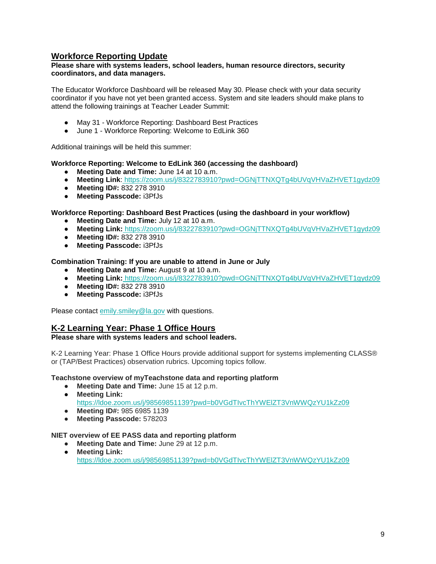### **Workforce Reporting Update**

#### **Please share with systems leaders, school leaders, human resource directors, security coordinators, and data managers.**

The Educator Workforce Dashboard will be released May 30. Please check with your data security coordinator if you have not yet been granted access. System and site leaders should make plans to attend the following trainings at Teacher Leader Summit:

- May 31 Workforce Reporting: Dashboard Best Practices
- June 1 Workforce Reporting: Welcome to EdLink 360

Additional trainings will be held this summer:

#### **Workforce Reporting: Welcome to EdLink 360 (accessing the dashboard)**

- **Meeting Date and Time:** June 14 at 10 a.m.
- **Meeting Link**: <https://zoom.us/j/8322783910?pwd=OGNjTTNXQTg4bUVqVHVaZHVET1gydz09>
- **Meeting ID#:** 832 278 3910
- **Meeting Passcode:** i3PfJs

#### **Workforce Reporting: Dashboard Best Practices (using the dashboard in your workflow)**

- **Meeting Date and Time:** July 12 at 10 a.m.
- **Meeting Link:** <https://zoom.us/j/8322783910?pwd=OGNjTTNXQTg4bUVqVHVaZHVET1gydz09>
- **Meeting ID#:** 832 278 3910
- **Meeting Passcode:** i3PfJs

#### **Combination Training: If you are unable to attend in June or July**

- **Meeting Date and Time:** August 9 at 10 a.m.
- **Meeting Link:** <https://zoom.us/j/8322783910?pwd=OGNjTTNXQTg4bUVqVHVaZHVET1gydz09>
- **Meeting ID#:** 832 278 3910
- **Meeting Passcode:** i3PfJs

Please contact [emily.smiley@la.gov](mailto:emily.smiley@la.gov) with questions.

### **K-2 Learning Year: Phase 1 Office Hours**

#### **Please share with systems leaders and school leaders.**

K-2 Learning Year: Phase 1 Office Hours provide additional support for systems implementing CLASS® or (TAP/Best Practices) observation rubrics. Upcoming topics follow.

**Teachstone overview of myTeachstone data and reporting platform** 

- **Meeting Date and Time:** June 15 at 12 p.m.
- **Meeting Link:**

<https://ldoe.zoom.us/j/98569851139?pwd=b0VGdTIvcThYWElZT3VnWWQzYU1kZz09>

- **Meeting ID#:** 985 6985 1139
- **Meeting Passcode:** 578203

#### **NIET overview of EE PASS data and reporting platform**

● **Meeting Date and Time:** June 29 at 12 p.m. ● **Meeting Link:** 

<https://ldoe.zoom.us/j/98569851139?pwd=b0VGdTIvcThYWElZT3VnWWQzYU1kZz09>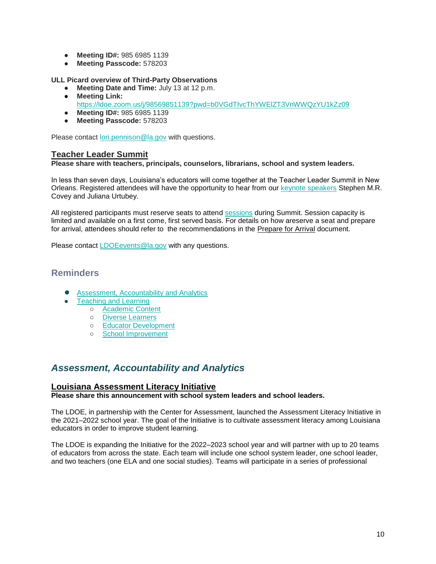- **Meeting ID#:** 985 6985 1139
- **Meeting Passcode:** 578203

#### **ULL Picard overview of Third-Party Observations**

- **Meeting Date and Time:** July 13 at 12 p.m.
- **Meeting Link:**  <https://ldoe.zoom.us/j/98569851139?pwd=b0VGdTIvcThYWElZT3VnWWQzYU1kZz09>
- **Meeting ID#:** 985 6985 1139
- **Meeting Passcode:** 578203

Please contact [lori.pennison@la.gov](mailto:lori.pennison@la.gov) with questions.

#### **Teacher Leader Summit**

#### **Please share with teachers, principals, counselors, librarians, school and system leaders.**

In less than seven days, Louisiana's educators will come together at the Teacher Leader Summit in New Orleans. Registered attendees will have the opportunity to hear from our [keynote speakers](https://www.louisianabelieves.com/docs/default-source/2022-teacher-leader-summit/keynote-speakers---tl-summit-2022.pdf) Stephen M.R. Covey and Juliana Urtubey.

All registered participants must reserve seats to attend [sessions](https://whova.com/embedded/event/i6u0jc%2FHaQPA8X9JKRdO22%2FvxgNOBGeJNdxPWRzFISM%3D/?utc_source=ems) during Summit. Session capacity is limited and available on a first come, first served basis. For details on how areserve a seat and prepare for arrival, attendees should refer to the recommendations in the [Prepare for Arrival](https://www.louisianabelieves.com/docs/default-source/2022-teacher-leader-summit/prepare-for-arrival---tl-summit-2022.pdf) document.

Please contact [LDOEevents@la.gov](mailto:LDOEevents@la.gov) with any questions.

### <span id="page-10-0"></span>**Reminders**

- [Assessment, Accountability and Analytics](#page-10-1)
- **[Teaching and Learning](#page-11-0)** 
	- [Academic Content](#page-11-1)
	- [Diverse Learners](#page-11-2)
	- [Educator Development](#page-12-0)
	- [School Improvement](#page-14-0)

# <span id="page-10-1"></span>*Assessment, Accountability and Analytics*

#### **Louisiana Assessment Literacy Initiative**

**Please share this announcement with school system leaders and school leaders.**

The LDOE, in partnership with the Center for Assessment, launched the Assessment Literacy Initiative in the 2021–2022 school year. The goal of the Initiative is to cultivate assessment literacy among Louisiana educators in order to improve student learning.

The LDOE is expanding the Initiative for the 2022–2023 school year and will partner with up to 20 teams of educators from across the state. Each team will include one school system leader, one school leader, and two teachers (one ELA and one social studies). Teams will participate in a series of professional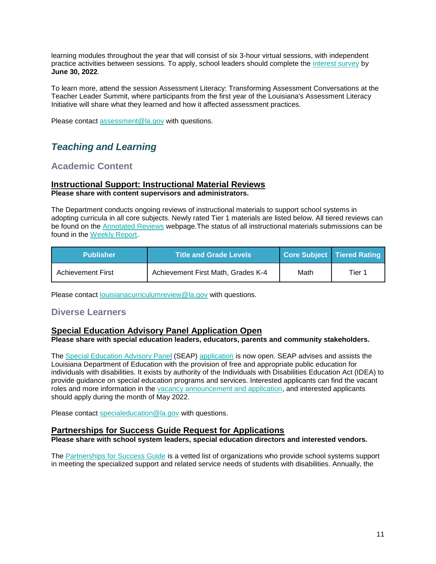learning modules throughout the year that will consist of six 3-hour virtual sessions, with independent practice activities between sessions. To apply, school leaders should complete the [interest survey](https://docs.google.com/forms/d/e/1FAIpQLSc8wPVFqk3Qb062CCda0bGbANSellkZSzrizltgLqMdvPPreQ/viewform?usp=sf_link) by **June 30, 2022**.

To learn more, attend the session Assessment Literacy: Transforming Assessment Conversations at the Teacher Leader Summit, where participants from the first year of the Louisiana's Assessment Literacy Initiative will share what they learned and how it affected assessment practices.

Please contact [assessment@la.gov](mailto:assessment@la.gov) with questions.

# <span id="page-11-0"></span>*Teaching and Learning*

## <span id="page-11-1"></span>**Academic Content**

### **Instructional Support: Instructional Material Reviews**

**Please share with content supervisors and administrators.** 

The Department conducts ongoing reviews of instructional materials to support school systems in adopting curricula in all core subjects. Newly rated Tier 1 materials are listed below. All tiered reviews can be found on the **Annotated Reviews** webpage. The status of all instructional materials submissions can be found in the [Weekly Report.](https://www.louisianabelieves.com/docs/default-source/curricular-resources/online-instructional-materials-reviews.pdf?sfvrsn=a26b841f_654)

| <b>Publisher</b>         | <b>Title and Grade Levels</b>      |      | Core Subject Tiered Rating |
|--------------------------|------------------------------------|------|----------------------------|
| <b>Achievement First</b> | Achievement First Math, Grades K-4 | Math | Tier 1                     |

Please contact **[louisianacurriculumreview@la.gov](mailto:LouisianaCurriculumReview@la.gov)** with questions.

### <span id="page-11-2"></span>**Diverse Learners**

### **Special Education Advisory Panel Application Open**

#### **Please share with special education leaders, educators, parents and community stakeholders.**

The [Special Education Advisory Panel](https://www.louisianabelieves.com/docs/default-source/academics/special-education-advisory-panel-(seap)-overview.pdf?sfvrsn=8bfd891f_42) (SEAP) [application](https://www.louisianabelieves.com/docs/default-source/students-with-disabilities/seap-member-vacancy-announcement-and-application.pdf?sfvrsn=4ea76618_12) is now open. SEAP advises and assists the Louisiana Department of Education with the provision of free and appropriate public education for individuals with disabilities. It exists by authority of the Individuals with Disabilities Education Act (IDEA) to provide guidance on special education programs and services. Interested applicants can find the vacant roles and more information in the [vacancy announcement and application,](https://www.louisianabelieves.com/docs/default-source/students-with-disabilities/seap-member-vacancy-announcement-and-application.pdf?sfvrsn=4ea76618_12) and interested applicants should apply during the month of May 2022.

Please contact [specialeducation@la.gov](mailto:specialeducation@la.gov) with questions.

### **Partnerships for Success Guide Request for Applications**

**Please share with school system leaders, special education directors and interested vendors.**

The [Partnerships for Success Guide](https://www.louisianabelieves.com/docs/default-source/students-with-disabilities/partnerships-for-success-guide.pdf?sfvrsn=3af99d1f_2) is a vetted list of organizations who provide school systems support in meeting the specialized support and related service needs of students with disabilities. Annually, the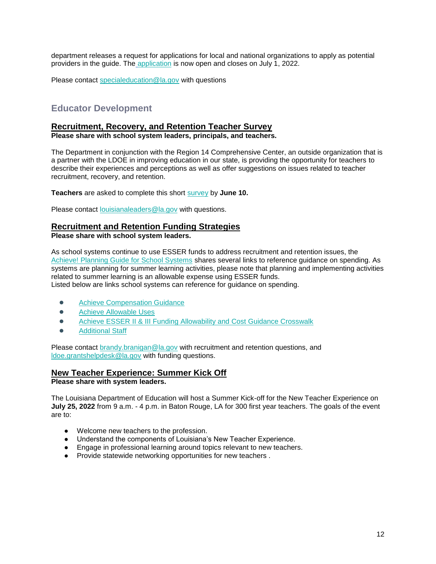department releases a request for applications for local and national organizations to apply as potential providers in the guide. Th[e](https://docs.google.com/forms/d/e/1FAIpQLSdHatVDhfasD3Y6NtUJnMJaVzs8S41zLuFjqnSNeLhIA50ssQ/viewform?usp=sf_link) [application](https://docs.google.com/forms/d/e/1FAIpQLSdHatVDhfasD3Y6NtUJnMJaVzs8S41zLuFjqnSNeLhIA50ssQ/viewform?usp=sf_link) is now open and closes on July 1, 2022.

Please contact [specialeducation@la.gov](mailto:specialeducation@la.gov) with questions

## <span id="page-12-0"></span>**Educator Development**

#### **Recruitment, Recovery, and Retention Teacher Survey**

**Please share with school system leaders, principals, and teachers.**

The Department in conjunction with the Region 14 Comprehensive Center, an outside organization that is a partner with the LDOE in improving education in our state, is providing the opportunity for teachers to describe their experiences and perceptions as well as offer suggestions on issues related to teacher recruitment, recovery, and retention.

**Teachers** are asked to complete this short [survey](https://survey.alchemer.com/s3/6839519/Region-14-CC-Teacher-Recruitment-Retention-and-Recovery-Survey) by **June 10.**

Please contact [louisianaleaders@la.gov](mailto:louisianaleaders@la.gov) with questions.

### **Recruitment and Retention Funding Strategies**

**Please share with school system leaders.**

As school systems continue to use ESSER funds to address recruitment and retention issues, the [Achieve! Planning Guide for School Systems](https://www.louisianabelieves.com/docs/default-source/operations/achieve!-planning-guidance.pdf?sfvrsn=25d36718_24) shares several links to reference guidance on spending. As systems are planning for summer learning activities, please note that planning and implementing activities related to summer learning is an allowable expense using ESSER funds. Listed below are links school systems can reference for guidance on spending.

- [Achieve Compensation Guidance](https://www.louisianabelieves.com/docs/default-source/achieve/achieve!-compensation-guidance.pdf?sfvrsn=d4ce6718_8)
- **Achieve Allowable Uses**
- Achieve ESSER II & III Funding Allowability and Cost Guidance Crosswalk
- **[Additional Staff](https://www.louisianabelieves.com/docs/default-source/achieve/achieve!-hiring-investment-examples.pdf?sfvrsn=60fb6718_2)**

Please contact [brandy.branigan@la.gov](mailto:brandy.branigan@la.gov) with recruitment and retention questions, and [ldoe.grantshelpdesk@la.gov](mailto:LDOE.GrantsHelpdesk@la.gov) with funding questions.

### **New Teacher Experience: Summer Kick Off**

**Please share with system leaders.**

The Louisiana Department of Education will host a Summer Kick-off for the New Teacher Experience on **July 25, 2022** from 9 a.m. - 4 p.m. in Baton Rouge, LA for 300 first year teachers. The goals of the event are to:

- Welcome new teachers to the profession.
- Understand the components of Louisiana's New Teacher Experience.
- Engage in professional learning around topics relevant to new teachers.
- Provide statewide networking opportunities for new teachers .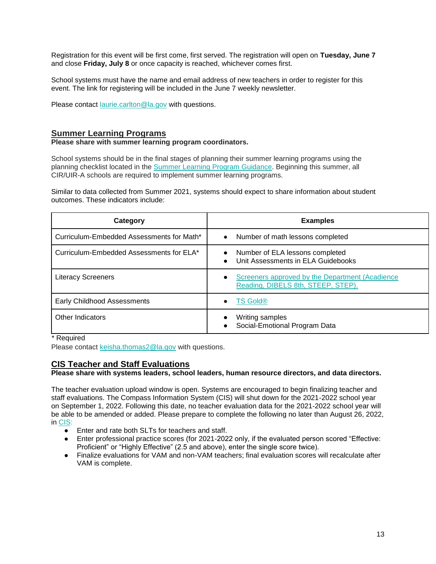Registration for this event will be first come, first served. The registration will open on **Tuesday, June 7**  and close **Friday, July 8** or once capacity is reached, whichever comes first.

School systems must have the name and email address of new teachers in order to register for this event. The link for registering will be included in the June 7 weekly newsletter.

Please contact [laurie.carlton@la.gov](mailto:laurie.carlton@la.gov) with questions.

### **Summer Learning Programs**

#### **Please share with summer learning program coordinators.**

School systems should be in the final stages of planning their summer learning programs using the planning checklist located in th[e](https://www.louisianabelieves.com/docs/default-source/academics/summer-learning-program-guidance-2021.pdf?sfvrsn=9f5a6618_2) [Summer Learning Program Guidance.](https://www.louisianabelieves.com/docs/default-source/academics/summer-learning-program-guidance-2021.pdf?sfvrsn=9f5a6618_2) Beginning this summer, all CIR/UIR-A schools are required to implement summer learning programs.

Similar to data collected from Summer 2021, systems should expect to share information about student outcomes. These indicators include:

| Category                                  | <b>Examples</b>                                                                                    |
|-------------------------------------------|----------------------------------------------------------------------------------------------------|
| Curriculum-Embedded Assessments for Math* | Number of math lessons completed<br>$\bullet$                                                      |
| Curriculum-Embedded Assessments for ELA*  | Number of ELA lessons completed<br>$\bullet$<br>Unit Assessments in ELA Guidebooks<br>$\bullet$    |
| <b>Literacy Screeners</b>                 | Screeners approved by the Department (Acadience<br>$\bullet$<br>Reading, DIBELS 8th, STEEP, STEP). |
| <b>Early Childhood Assessments</b>        | <b>TS Gold®</b><br>$\bullet$                                                                       |
| Other Indicators                          | Writing samples<br>Social-Emotional Program Data                                                   |

\* Required

Please contact [keisha.thomas2@la.gov](mailto:Keisha.Thomas2@la.gov) with questions.

### **CIS Teacher and Staff Evaluations**

**Please share with systems leaders, school leaders, human resource directors, and data directors.**

The teacher evaluation upload window is open. Systems are encouraged to begin finalizing teacher and staff evaluations. The Compass Information System (CIS) will shut down for the 2021-2022 school year on September 1, 2022. Following this date, no teacher evaluation data for the 2021-2022 school year will be able to be amended or added. Please prepare to complete the following no later than August 26, 2022, in [CIS:](https://leads13.doe.louisiana.gov/hcs/FrameWork.aspx)

- Enter and rate both SLTs for teachers and staff.
- Enter professional practice scores (for 2021-2022 only, if the evaluated person scored "Effective: Proficient" or "Highly Effective" (2.5 and above), enter the single score twice).
- Finalize evaluations for VAM and non-VAM teachers; final evaluation scores will recalculate after VAM is complete.